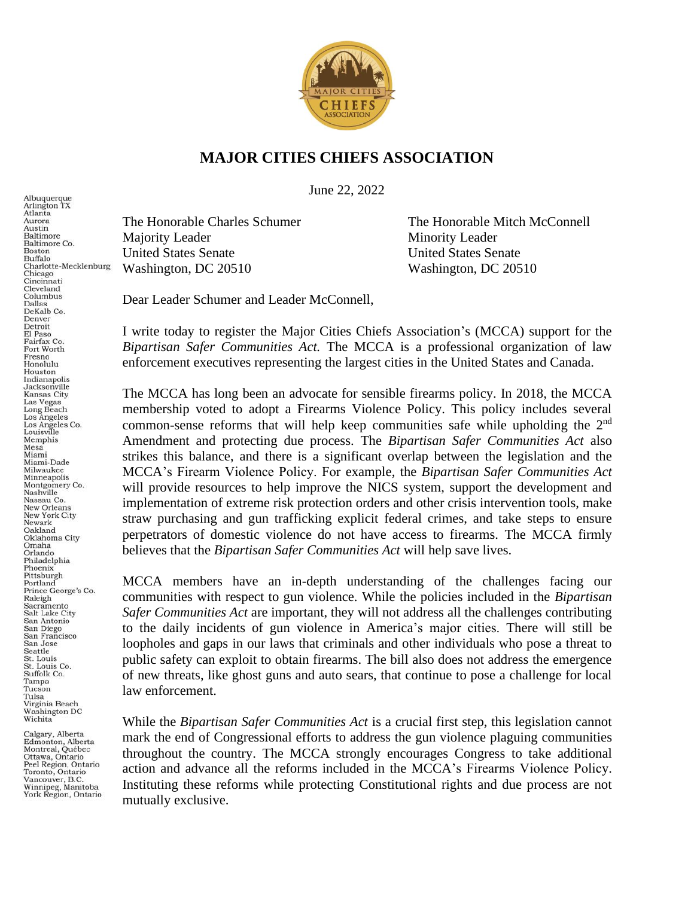

## **MAJOR CITIES CHIEFS ASSOCIATION**

June 22, 2022

Majority Leader Minority Leader United States Senate United States Senate Washington, DC 20510 Washington, DC 20510

The Honorable Charles Schumer The Honorable Mitch McConnell

Dear Leader Schumer and Leader McConnell,

I write today to register the Major Cities Chiefs Association's (MCCA) support for the *Bipartisan Safer Communities Act.* The MCCA is a professional organization of law enforcement executives representing the largest cities in the United States and Canada.

The MCCA has long been an advocate for sensible firearms policy. In 2018, the MCCA membership voted to adopt a Firearms Violence Policy. This policy includes several common-sense reforms that will help keep communities safe while upholding the  $2<sup>nd</sup>$ Amendment and protecting due process. The *Bipartisan Safer Communities Act* also strikes this balance, and there is a significant overlap between the legislation and the MCCA's Firearm Violence Policy. For example, the *Bipartisan Safer Communities Act*  will provide resources to help improve the NICS system, support the development and implementation of extreme risk protection orders and other crisis intervention tools, make straw purchasing and gun trafficking explicit federal crimes, and take steps to ensure perpetrators of domestic violence do not have access to firearms. The MCCA firmly believes that the *Bipartisan Safer Communities Act* will help save lives.

MCCA members have an in-depth understanding of the challenges facing our communities with respect to gun violence. While the policies included in the *Bipartisan Safer Communities Act* are important, they will not address all the challenges contributing to the daily incidents of gun violence in America's major cities. There will still be loopholes and gaps in our laws that criminals and other individuals who pose a threat to public safety can exploit to obtain firearms. The bill also does not address the emergence of new threats, like ghost guns and auto sears, that continue to pose a challenge for local law enforcement.

While the *Bipartisan Safer Communities Act* is a crucial first step, this legislation cannot mark the end of Congressional efforts to address the gun violence plaguing communities throughout the country. The MCCA strongly encourages Congress to take additional action and advance all the reforms included in the MCCA's Firearms Violence Policy. Instituting these reforms while protecting Constitutional rights and due process are not mutually exclusive.

Albuquerque Arlington TX<br>Atlanta Aurora Austin Baltimore Baltimore Co. Boston Buffalo Charlotte-Mecklenburg<br>Chicago Cincinnati Cleveland Columbus **Dallas** DeKalb Co. Denver Detroit El Paso Fairfax Co. Fort Worth Fresno Honolulu. Houston nousion<br>Indianapolis<br>Jacksonville Kansas City<br>Las Vegas Long Beach<br>Los Angeles Los Angeles Co.<br>Louisville Memphis Mesa Miami Miami-Dade Milwaukee Minneapolis Montgomery Co. Nashville Nassau Co. **New Orleans** New York City Newark Oakland Oklahoma City Omaha Orlando<br>Philadelphia Phoenix Pittsburgh Portland Prince George's Co. Raleigh Sacramento Salt Lake City San Antonio San Diego San Francisco San Jose Seattle St. Louis<br>St. Louis Co.<br>Suffolk Co. Tampa Tucson Tulsa<br>Virginia Beach<br>Washington DC<br>Wichita

Calgary, Alberta Edmonton, Alberta<br>Montreal, Québec Ottawa, Ontario Peel Region, Ontario<br>Toronto, Ontario Vancouver, B.C.<br>Winnipeg, Manitoba<br>York Region, Ontario